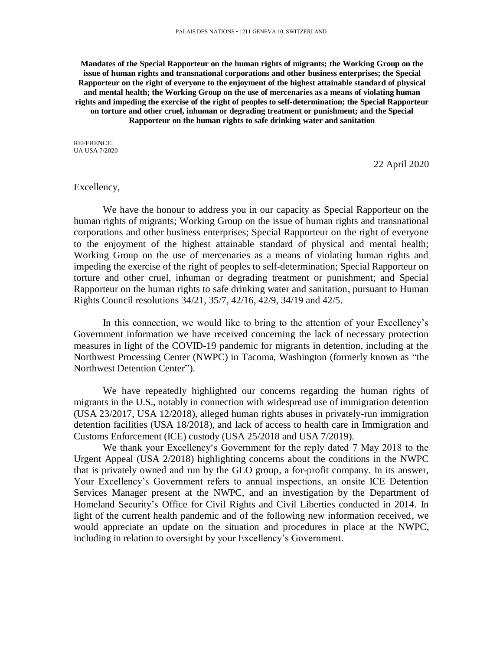**Mandates of the Special Rapporteur on the human rights of migrants; the Working Group on the issue of human rights and transnational corporations and other business enterprises; the Special Rapporteur on the right of everyone to the enjoyment of the highest attainable standard of physical and mental health; the Working Group on the use of mercenaries as a means of violating human rights and impeding the exercise of the right of peoples to self-determination; the Special Rapporteur on torture and other cruel, inhuman or degrading treatment or punishment; and the Special Rapporteur on the human rights to safe drinking water and sanitation**

REFERENCE: UA USA 7/2020

22 April 2020

## Excellency,

We have the honour to address you in our capacity as Special Rapporteur on the human rights of migrants; Working Group on the issue of human rights and transnational corporations and other business enterprises; Special Rapporteur on the right of everyone to the enjoyment of the highest attainable standard of physical and mental health; Working Group on the use of mercenaries as a means of violating human rights and impeding the exercise of the right of peoples to self-determination; Special Rapporteur on torture and other cruel, inhuman or degrading treatment or punishment; and Special Rapporteur on the human rights to safe drinking water and sanitation, pursuant to Human Rights Council resolutions 34/21, 35/7, 42/16, 42/9, 34/19 and 42/5.

In this connection, we would like to bring to the attention of your Excellency's Government information we have received concerning the lack of necessary protection measures in light of the COVID-19 pandemic for migrants in detention, including at the Northwest Processing Center (NWPC) in Tacoma, Washington (formerly known as "the Northwest Detention Center").

We have repeatedly highlighted our concerns regarding the human rights of migrants in the U.S., notably in connection with widespread use of immigration detention (USA 23/2017, USA 12/2018), alleged human rights abuses in privately-run immigration detention facilities (USA 18/2018), and lack of access to health care in Immigration and Customs Enforcement (ICE) custody (USA 25/2018 and USA 7/2019).

We thank your Excellency's Government for the reply dated 7 May 2018 to the Urgent Appeal (USA 2/2018) highlighting concerns about the conditions in the NWPC that is privately owned and run by the GEO group, a for-profit company. In its answer, Your Excellency's Government refers to annual inspections, an onsite ICE Detention Services Manager present at the NWPC, and an investigation by the Department of Homeland Security's Office for Civil Rights and Civil Liberties conducted in 2014. In light of the current health pandemic and of the following new information received, we would appreciate an update on the situation and procedures in place at the NWPC, including in relation to oversight by your Excellency's Government.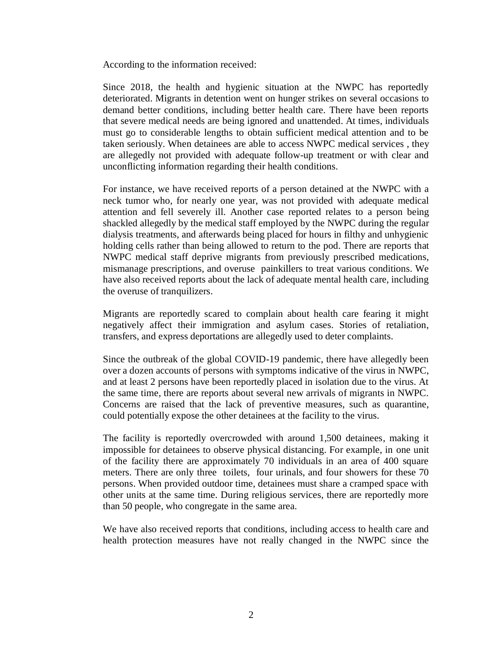According to the information received:

Since 2018, the health and hygienic situation at the NWPC has reportedly deteriorated. Migrants in detention went on hunger strikes on several occasions to demand better conditions, including better health care. There have been reports that severe medical needs are being ignored and unattended. At times, individuals must go to considerable lengths to obtain sufficient medical attention and to be taken seriously. When detainees are able to access NWPC medical services , they are allegedly not provided with adequate follow-up treatment or with clear and unconflicting information regarding their health conditions.

For instance, we have received reports of a person detained at the NWPC with a neck tumor who, for nearly one year, was not provided with adequate medical attention and fell severely ill. Another case reported relates to a person being shackled allegedly by the medical staff employed by the NWPC during the regular dialysis treatments, and afterwards being placed for hours in filthy and unhygienic holding cells rather than being allowed to return to the pod. There are reports that NWPC medical staff deprive migrants from previously prescribed medications, mismanage prescriptions, and overuse painkillers to treat various conditions. We have also received reports about the lack of adequate mental health care, including the overuse of tranquilizers.

Migrants are reportedly scared to complain about health care fearing it might negatively affect their immigration and asylum cases. Stories of retaliation, transfers, and express deportations are allegedly used to deter complaints.

Since the outbreak of the global COVID-19 pandemic, there have allegedly been over a dozen accounts of persons with symptoms indicative of the virus in NWPC, and at least 2 persons have been reportedly placed in isolation due to the virus. At the same time, there are reports about several new arrivals of migrants in NWPC. Concerns are raised that the lack of preventive measures, such as quarantine, could potentially expose the other detainees at the facility to the virus.

The facility is reportedly overcrowded with around 1,500 detainees, making it impossible for detainees to observe physical distancing. For example, in one unit of the facility there are approximately 70 individuals in an area of 400 square meters. There are only three toilets, four urinals, and four showers for these 70 persons. When provided outdoor time, detainees must share a cramped space with other units at the same time. During religious services, there are reportedly more than 50 people, who congregate in the same area.

We have also received reports that conditions, including access to health care and health protection measures have not really changed in the NWPC since the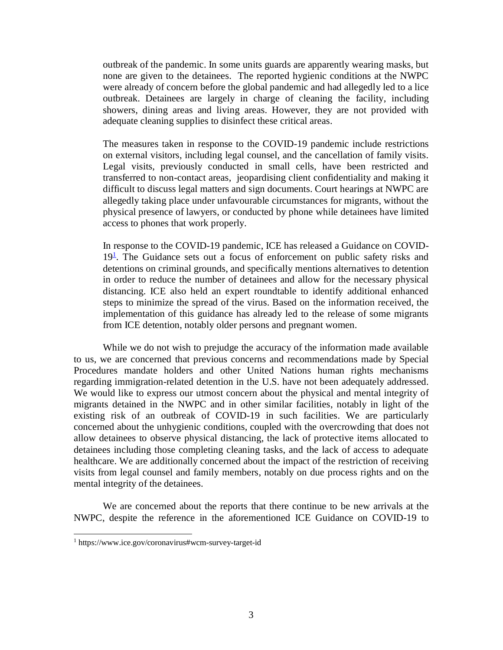outbreak of the pandemic. In some units guards are apparently wearing masks, but none are given to the detainees. The reported hygienic conditions at the NWPC were already of concern before the global pandemic and had allegedly led to a lice outbreak. Detainees are largely in charge of cleaning the facility, including showers, dining areas and living areas. However, they are not provided with adequate cleaning supplies to disinfect these critical areas.

The measures taken in response to the COVID-19 pandemic include restrictions on external visitors, including legal counsel, and the cancellation of family visits. Legal visits, previously conducted in small cells, have been restricted and transferred to non-contact areas, jeopardising client confidentiality and making it difficult to discuss legal matters and sign documents. Court hearings at NWPC are allegedly taking place under unfavourable circumstances for migrants, without the physical presence of lawyers, or conducted by phone while detainees have limited access to phones that work properly.

In response to the COVID-19 pandemic, ICE has released a Guidance on COVID- $19<sup>1</sup>$ . The Guidance sets out a focus of enforcement on public safety risks and detentions on criminal grounds, and specifically mentions alternatives to detention in order to reduce the number of detainees and allow for the necessary physical distancing. ICE also held an expert roundtable to identify additional enhanced steps to minimize the spread of the virus. Based on the information received, the implementation of this guidance has already led to the release of some migrants from ICE detention, notably older persons and pregnant women.

While we do not wish to prejudge the accuracy of the information made available to us, we are concerned that previous concerns and recommendations made by Special Procedures mandate holders and other United Nations human rights mechanisms regarding immigration-related detention in the U.S. have not been adequately addressed. We would like to express our utmost concern about the physical and mental integrity of migrants detained in the NWPC and in other similar facilities, notably in light of the existing risk of an outbreak of COVID-19 in such facilities. We are particularly concerned about the unhygienic conditions, coupled with the overcrowding that does not allow detainees to observe physical distancing, the lack of protective items allocated to detainees including those completing cleaning tasks, and the lack of access to adequate healthcare. We are additionally concerned about the impact of the restriction of receiving visits from legal counsel and family members, notably on due process rights and on the mental integrity of the detainees.

We are concerned about the reports that there continue to be new arrivals at the NWPC, despite the reference in the aforementioned ICE Guidance on COVID-19 to

l

<sup>1</sup> https://www.ice.gov/coronavirus#wcm-survey-target-id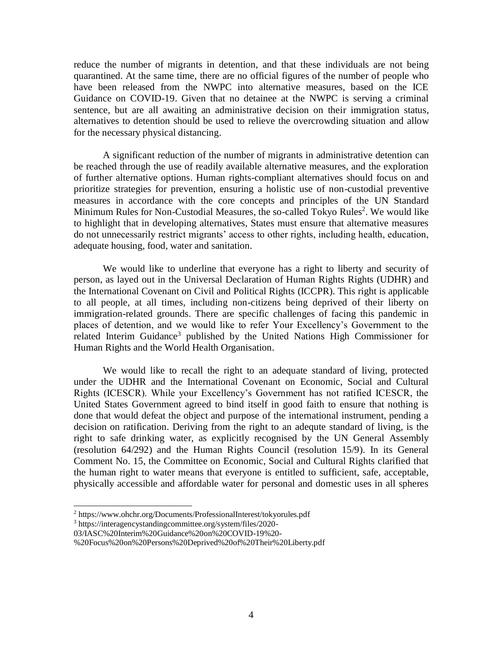reduce the number of migrants in detention, and that these individuals are not being quarantined. At the same time, there are no official figures of the number of people who have been released from the NWPC into alternative measures, based on the ICE Guidance on COVID-19. Given that no detainee at the NWPC is serving a criminal sentence, but are all awaiting an administrative decision on their immigration status, alternatives to detention should be used to relieve the overcrowding situation and allow for the necessary physical distancing.

A significant reduction of the number of migrants in administrative detention can be reached through the use of readily available alternative measures, and the exploration of further alternative options. Human rights-compliant alternatives should focus on and prioritize strategies for prevention, ensuring a holistic use of non-custodial preventive measures in accordance with the core concepts and principles of the UN Standard Minimum Rules for Non-Custodial Measures, the so-called Tokyo Rules<sup>2</sup>. We would like to highlight that in developing alternatives, States must ensure that alternative measures do not unnecessarily restrict migrants' access to other rights, including health, education, adequate housing, food, water and sanitation.

We would like to underline that everyone has a right to liberty and security of person, as layed out in the Universal Declaration of Human Rights Rights (UDHR) and the International Covenant on Civil and Political Rights (ICCPR). This right is applicable to all people, at all times, including non-citizens being deprived of their liberty on immigration-related grounds. There are specific challenges of facing this pandemic in places of detention, and we would like to refer Your Excellency's Government to the related Interim Guidance<sup>3</sup> published by the United Nations High Commissioner for Human Rights and the World Health Organisation.

We would like to recall the right to an adequate standard of living, protected under the UDHR and the International Covenant on Economic, Social and Cultural Rights (ICESCR). While your Excellency's Government has not ratified ICESCR, the United States Government agreed to bind itself in good faith to ensure that nothing is done that would defeat the object and purpose of the international instrument, pending a decision on ratification. Deriving from the right to an adequte standard of living, is the right to safe drinking water, as explicitly recognised by the UN General Assembly (resolution 64/292) and the Human Rights Council (resolution 15/9). In its General Comment No. 15, the Committee on Economic, Social and Cultural Rights clarified that the human right to water means that everyone is entitled to sufficient, safe, acceptable, physically accessible and affordable water for personal and domestic uses in all spheres

l

<sup>2</sup> https://www.ohchr.org/Documents/ProfessionalInterest/tokyorules.pdf

<sup>3</sup> https://interagencystandingcommittee.org/system/files/2020-

<sup>03/</sup>IASC%20Interim%20Guidance%20on%20COVID-19%20-

<sup>%20</sup>Focus%20on%20Persons%20Deprived%20of%20Their%20Liberty.pdf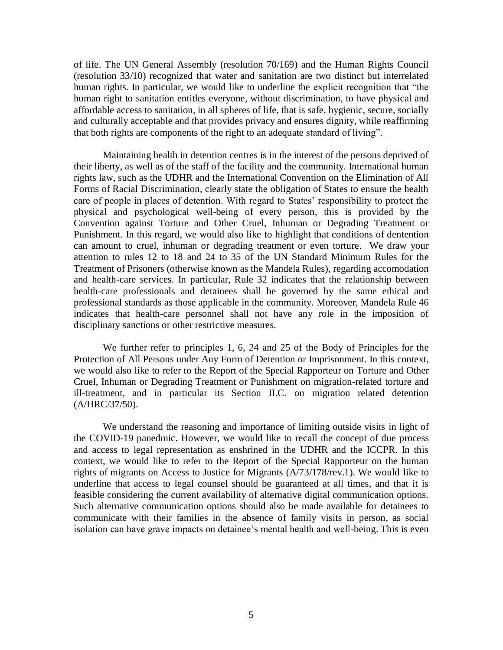of life. The UN General Assembly (resolution 70/169) and the Human Rights Council (resolution 33/10) recognized that water and sanitation are two distinct but interrelated human rights. In particular, we would like to underline the explicit recognition that "the human right to sanitation entitles everyone, without discrimination, to have physical and affordable access to sanitation, in all spheres of life, that is safe, hygienic, secure, socially and culturally acceptable and that provides privacy and ensures dignity, while reaffirming that both rights are components of the right to an adequate standard of living".

Maintaining health in detention centres is in the interest of the persons deprived of their liberty, as well as of the staff of the facility and the community. International human rights law, such as the UDHR and the International Convention on the Elimination of All Forms of Racial Discrimination, clearly state the obligation of States to ensure the health care of people in places of detention. With regard to States' responsibility to protect the physical and psychological well-being of every person, this is provided by the Convention against Torture and Other Cruel, Inhuman or Degrading Treatment or Punishment. In this regard, we would also like to highlight that conditions of dentention can amount to cruel, inhuman or degrading treatment or even torture. We draw your attention to rules 12 to 18 and 24 to 35 of the [UN Standard Minimum Rules for the](https://www.un.org/en/events/mandeladay/mandela_rules.shtml)  [Treatment of Prisoners](https://www.un.org/en/events/mandeladay/mandela_rules.shtml) (otherwise known as the Mandela Rules), regarding accomodation and health-care services. In particular, Rule 32 indicates that the relationship between health-care professionals and detainees shall be governed by the same ethical and professional standards as those applicable in the community. Moreover, Mandela Rule 46 indicates that health-care personnel shall not have any role in the imposition of disciplinary sanctions or other restrictive measures.

We further refer to principles 1, 6, 24 and 25 of the Body of Principles for the Protection of All Persons under Any Form of Detention or Imprisonment. In this context, we would also like to refer to the Report of the Special Rapporteur on Torture and Other Cruel, Inhuman or Degrading Treatment or Punishment on migration-related torture and ill-treatment, and in particular its Section II.C. on migration related detention (A/HRC/37/50).

We understand the reasoning and importance of limiting outside visits in light of the COVID-19 panedmic. However, we would like to recall the concept of due process and access to legal representation as enshrined in the UDHR and the ICCPR. In this context, we would like to refer to the Report of the Special Rapporteur on the human rights of migrants on Access to Justice for Migrants (A/73/178/rev.1). We would like to underline that access to legal counsel should be guaranteed at all times, and that it is feasible considering the current availability of alternative digital communication options. Such alternative communication options should also be made available for detainees to communicate with their families in the absence of family visits in person, as social isolation can have grave impacts on detainee's mental health and well-being. This is even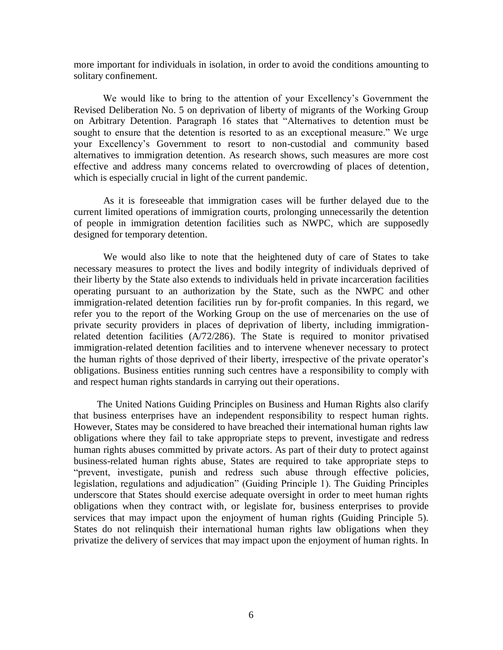more important for individuals in isolation, in order to avoid the conditions amounting to solitary confinement.

We would like to bring to the attention of your Excellency's Government the [Revised Deliberation No. 5 on deprivation of liberty of migrants of the Working Group](https://www.ohchr.org/Documents/Issues/Detention/RevisedDeliberation_AdvanceEditedVersion.pdf)  [on Arbitrary Detention.](https://www.ohchr.org/Documents/Issues/Detention/RevisedDeliberation_AdvanceEditedVersion.pdf) Paragraph 16 states that "Alternatives to detention must be sought to ensure that the detention is resorted to as an exceptional measure." We urge your Excellency's Government to resort to non-custodial and community based alternatives to immigration detention. As research shows, such measures are more cost effective and address many concerns related to overcrowding of places of detention, which is especially crucial in light of the current pandemic.

As it is foreseeable that immigration cases will be further delayed due to the current limited operations of immigration courts, prolonging unnecessarily the detention of people in immigration detention facilities such as NWPC, which are supposedly designed for temporary detention.

We would also like to note that the heightened duty of care of States to take necessary measures to protect the lives and bodily integrity of individuals deprived of their liberty by the State also extends to individuals held in private incarceration facilities operating pursuant to an authorization by the State, such as the NWPC and other immigration-related detention facilities run by for-profit companies. In this regard, we refer you to the report of the Working Group on the use of mercenaries on the use of private security providers in places of deprivation of liberty, including immigrationrelated detention facilities (A/72/286). The State is required to monitor privatised immigration-related detention facilities and to intervene whenever necessary to protect the human rights of those deprived of their liberty, irrespective of the private operator's obligations. Business entities running such centres have a responsibility to comply with and respect human rights standards in carrying out their operations.

The United Nations Guiding Principles on Business and Human Rights also clarify that business enterprises have an independent responsibility to respect human rights. However, States may be considered to have breached their international human rights law obligations where they fail to take appropriate steps to prevent, investigate and redress human rights abuses committed by private actors. As part of their duty to protect against business-related human rights abuse, States are required to take appropriate steps to "prevent, investigate, punish and redress such abuse through effective policies, legislation, regulations and adjudication" (Guiding Principle 1). The Guiding Principles underscore that States should exercise adequate oversight in order to meet human rights obligations when they contract with, or legislate for, business enterprises to provide services that may impact upon the enjoyment of human rights (Guiding Principle 5). States do not relinquish their international human rights law obligations when they privatize the delivery of services that may impact upon the enjoyment of human rights. In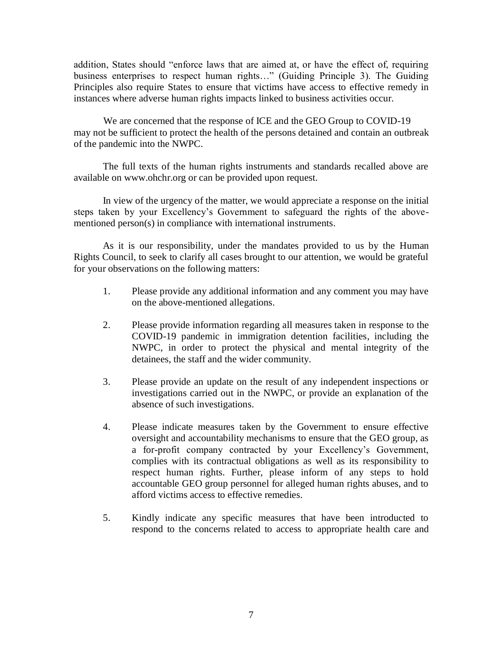addition, States should "enforce laws that are aimed at, or have the effect of, requiring business enterprises to respect human rights…" (Guiding Principle 3). The Guiding Principles also require States to ensure that victims have access to effective remedy in instances where adverse human rights impacts linked to business activities occur.

We are concerned that the response of ICE and the GEO Group to COVID-19 may not be sufficient to protect the health of the persons detained and contain an outbreak of the pandemic into the NWPC.

The full texts of the human rights instruments and standards recalled above are available on www.ohchr.org or can be provided upon request.

In view of the urgency of the matter, we would appreciate a response on the initial steps taken by your Excellency's Government to safeguard the rights of the abovementioned person(s) in compliance with international instruments.

As it is our responsibility, under the mandates provided to us by the Human Rights Council, to seek to clarify all cases brought to our attention, we would be grateful for your observations on the following matters:

- 1. Please provide any additional information and any comment you may have on the above-mentioned allegations.
- 2. Please provide information regarding all measures taken in response to the COVID-19 pandemic in immigration detention facilities, including the NWPC, in order to protect the physical and mental integrity of the detainees, the staff and the wider community.
- 3. Please provide an update on the result of any independent inspections or investigations carried out in the NWPC, or provide an explanation of the absence of such investigations.
- 4. Please indicate measures taken by the Government to ensure effective oversight and accountability mechanisms to ensure that the GEO group, as a for-profit company contracted by your Excellency's Government, complies with its contractual obligations as well as its responsibility to respect human rights. Further, please inform of any steps to hold accountable GEO group personnel for alleged human rights abuses, and to afford victims access to effective remedies.
- 5. Kindly indicate any specific measures that have been introducted to respond to the concerns related to access to appropriate health care and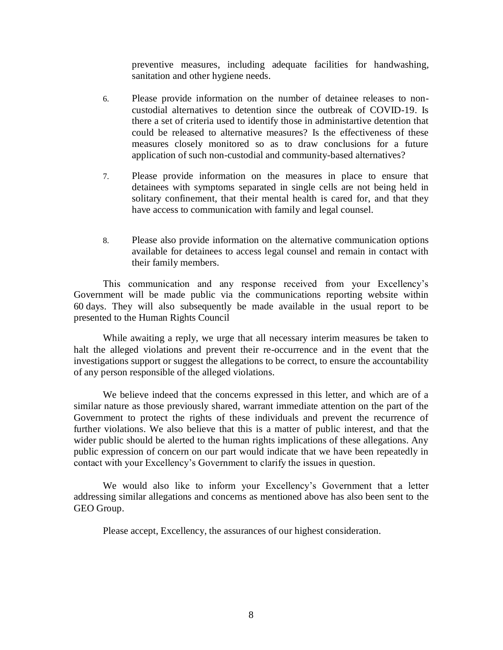preventive measures, including adequate facilities for handwashing, sanitation and other hygiene needs.

- 6. Please provide information on the number of detainee releases to noncustodial alternatives to detention since the outbreak of COVID-19. Is there a set of criteria used to identify those in administartive detention that could be released to alternative measures? Is the effectiveness of these measures closely monitored so as to draw conclusions for a future application of such non-custodial and community-based alternatives?
- 7. Please provide information on the measures in place to ensure that detainees with symptoms separated in single cells are not being held in solitary confinement, that their mental health is cared for, and that they have access to communication with family and legal counsel.
- 8. Please also provide information on the alternative communication options available for detainees to access legal counsel and remain in contact with their family members.

This communication and any response received from your Excellency's Government will be made public via the communications reporting website within 60 days. They will also subsequently be made available in the usual report to be presented to the Human Rights Council

While awaiting a reply, we urge that all necessary interim measures be taken to halt the alleged violations and prevent their re-occurrence and in the event that the investigations support or suggest the allegations to be correct, to ensure the accountability of any person responsible of the alleged violations.

We believe indeed that the concerns expressed in this letter, and which are of a similar nature as those previously shared, warrant immediate attention on the part of the Government to protect the rights of these individuals and prevent the recurrence of further violations. We also believe that this is a matter of public interest, and that the wider public should be alerted to the human rights implications of these allegations. Any public expression of concern on our part would indicate that we have been repeatedly in contact with your Excellency's Government to clarify the issues in question.

We would also like to inform your Excellency's Government that a letter addressing similar allegations and concerns as mentioned above has also been sent to the GEO Group.

Please accept, Excellency, the assurances of our highest consideration.